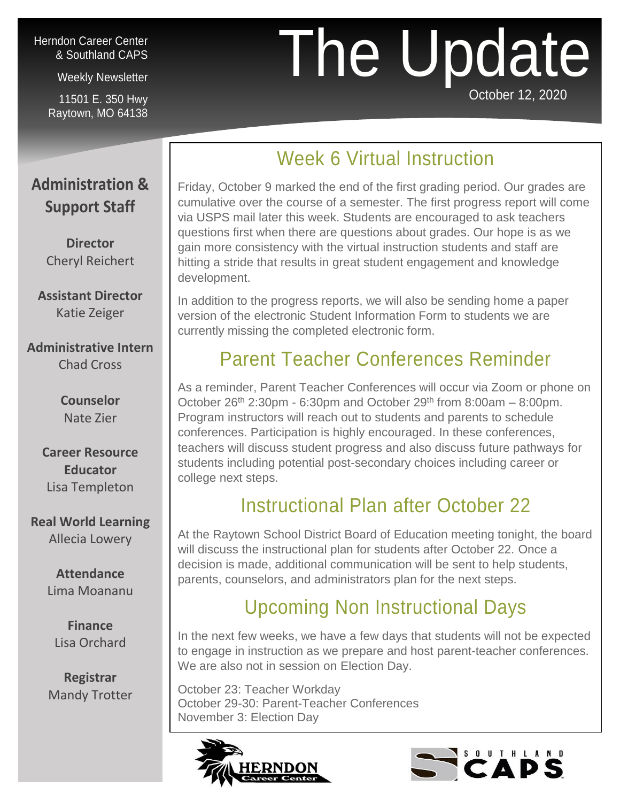#### Herndon Career Center & Southland CAPS

Weekly Newsletter

11501 E. 350 Hwy Raytown, MO 64138

Phone: 816-268-7140

## The Update October 12, 2020

# Week 6 Virtual Instruction

### **Administration & Support Staff**

**Director** Cheryl Reichert

**Assistant Director** Katie Zeiger

**Administrative Intern** Chad Cross

> **Counselor** Nate Zier

**Career Resource Educator** Lisa Templeton

**Real World Learning**  Allecia Lowery

> **Attendance** Lima Moananu

**Finance** Lisa Orchard

**Registrar** Mandy Trotter Friday, October 9 marked the end of the first grading period. Our grades are cumulative over the course of a semester. The first progress report will come via USPS mail later this week. Students are encouraged to ask teachers questions first when there are questions about grades. Our hope is as we gain more consistency with the virtual instruction students and staff are hitting a stride that results in great student engagement and knowledge development.

In addition to the progress reports, we will also be sending home a paper version of the electronic Student Information Form to students we are currently missing the completed electronic form.

## Parent Teacher Conferences Reminder

As a reminder, Parent Teacher Conferences will occur via Zoom or phone on October  $26<sup>th</sup>$  2:30pm - 6:30pm and October  $29<sup>th</sup>$  from 8:00am – 8:00pm. Program instructors will reach out to students and parents to schedule conferences. Participation is highly encouraged. In these conferences, teachers will discuss student progress and also discuss future pathways for students including potential post-secondary choices including career or college next steps.

## Instructional Plan after October 22

At the Raytown School District Board of Education meeting tonight, the board will discuss the instructional plan for students after October 22. Once a decision is made, additional communication will be sent to help students, parents, counselors, and administrators plan for the next steps.

## Upcoming Non Instructional Days

In the next few weeks, we have a few days that students will not be expected to engage in instruction as we prepare and host parent-teacher conferences. We are also not in session on Election Day.

October 23: Teacher Workday October 29-30: Parent-Teacher Conferences November 3: Election Day



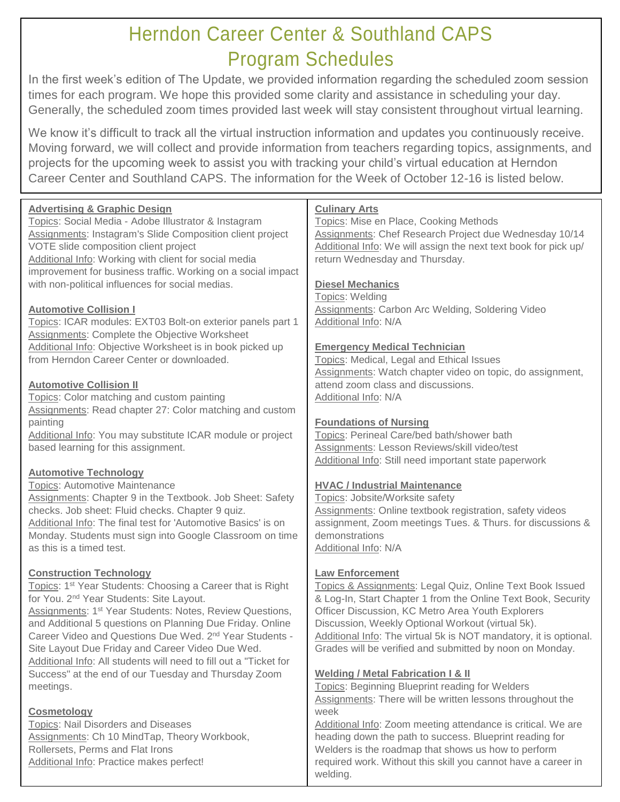## Herndon Career Center & Southland CAPS Program Schedules

In the first week's edition of The Update, we provided information regarding the scheduled zoom session times for each program. We hope this provided some clarity and assistance in scheduling your day. Generally, the scheduled zoom times provided last week will stay consistent throughout virtual learning.

We know it's difficult to track all the virtual instruction information and updates you continuously receive. Moving forward, we will collect and provide information from teachers regarding topics, assignments, and projects for the upcoming week to assist you with tracking your child's virtual education at Herndon Career Center and Southland CAPS. The information for the Week of October 12-16 is listed below.

| <b>Advertising &amp; Graphic Design</b><br>Topics: Social Media - Adobe Illustrator & Instagram<br>Assignments: Instagram's Slide Composition client project<br>VOTE slide composition client project<br>Additional Info: Working with client for social media<br>improvement for business traffic. Working on a social impact<br>with non-political influences for social medias.                                                                                                                    | <b>Culinary Arts</b><br>Topics: Mise en Place, Cooking Methods<br>Assignments: Chef Research Project due Wednesday 10/14<br>Additional Info: We will assign the next text book for pick up/<br>return Wednesday and Thursday.<br><b>Diesel Mechanics</b><br>Topics: Welding                                                                                                                     |
|-------------------------------------------------------------------------------------------------------------------------------------------------------------------------------------------------------------------------------------------------------------------------------------------------------------------------------------------------------------------------------------------------------------------------------------------------------------------------------------------------------|-------------------------------------------------------------------------------------------------------------------------------------------------------------------------------------------------------------------------------------------------------------------------------------------------------------------------------------------------------------------------------------------------|
| <b>Automotive Collision I</b><br>Topics: ICAR modules: EXT03 Bolt-on exterior panels part 1<br>Assignments: Complete the Objective Worksheet                                                                                                                                                                                                                                                                                                                                                          | <b>Assignments: Carbon Arc Welding, Soldering Video</b><br>Additional Info: N/A                                                                                                                                                                                                                                                                                                                 |
| Additional Info: Objective Worksheet is in book picked up<br>from Herndon Career Center or downloaded.                                                                                                                                                                                                                                                                                                                                                                                                | <b>Emergency Medical Technician</b><br>Topics: Medical, Legal and Ethical Issues<br>Assignments: Watch chapter video on topic, do assignment,                                                                                                                                                                                                                                                   |
| <b>Automotive Collision II</b><br>Topics: Color matching and custom painting<br>Assignments: Read chapter 27: Color matching and custom                                                                                                                                                                                                                                                                                                                                                               | attend zoom class and discussions.<br>Additional Info: N/A                                                                                                                                                                                                                                                                                                                                      |
| painting<br>Additional Info: You may substitute ICAR module or project<br>based learning for this assignment.                                                                                                                                                                                                                                                                                                                                                                                         | <b>Foundations of Nursing</b><br>Topics: Perineal Care/bed bath/shower bath<br>Assignments: Lesson Reviews/skill video/test<br>Additional Info: Still need important state paperwork                                                                                                                                                                                                            |
| <b>Automotive Technology</b><br><b>Topics: Automotive Maintenance</b><br>Assignments: Chapter 9 in the Textbook. Job Sheet: Safety<br>checks. Job sheet: Fluid checks. Chapter 9 quiz.<br>Additional Info: The final test for 'Automotive Basics' is on<br>Monday. Students must sign into Google Classroom on time<br>as this is a timed test.                                                                                                                                                       | <b>HVAC / Industrial Maintenance</b><br>Topics: Jobsite/Worksite safety<br>Assignments: Online textbook registration, safety videos<br>assignment, Zoom meetings Tues. & Thurs. for discussions &<br>demonstrations<br>Additional Info: N/A                                                                                                                                                     |
| <b>Construction Technology</b><br>Topics: 1 <sup>st</sup> Year Students: Choosing a Career that is Right<br>for You. 2 <sup>nd</sup> Year Students: Site Layout.<br>Assignments: 1 <sup>st</sup> Year Students: Notes, Review Questions,<br>and Additional 5 questions on Planning Due Friday. Online<br>Career Video and Questions Due Wed. 2 <sup>nd</sup> Year Students -<br>Site Layout Due Friday and Career Video Due Wed.<br>Additional Info: All students will need to fill out a "Ticket for | <b>Law Enforcement</b><br>Topics & Assignments: Legal Quiz, Online Text Book Issued<br>& Log-In, Start Chapter 1 from the Online Text Book, Security<br>Officer Discussion, KC Metro Area Youth Explorers<br>Discussion, Weekly Optional Workout (virtual 5k).<br>Additional Info: The virtual 5k is NOT mandatory, it is optional.<br>Grades will be verified and submitted by noon on Monday. |
| Success" at the end of our Tuesday and Thursday Zoom<br>meetings.                                                                                                                                                                                                                                                                                                                                                                                                                                     | <b>Welding / Metal Fabrication I &amp; II</b><br>Topics: Beginning Blueprint reading for Welders<br>Assignments: There will be written lessons throughout the                                                                                                                                                                                                                                   |
| <b>Cosmetology</b><br><b>Topics: Nail Disorders and Diseases</b><br>Assignments: Ch 10 MindTap, Theory Workbook,<br>Rollersets, Perms and Flat Irons<br>Additional Info: Practice makes perfect!                                                                                                                                                                                                                                                                                                      | week<br>Additional Info: Zoom meeting attendance is critical. We are<br>heading down the path to success. Blueprint reading for<br>Welders is the roadmap that shows us how to perform<br>required work. Without this skill you cannot have a career in                                                                                                                                         |

welding.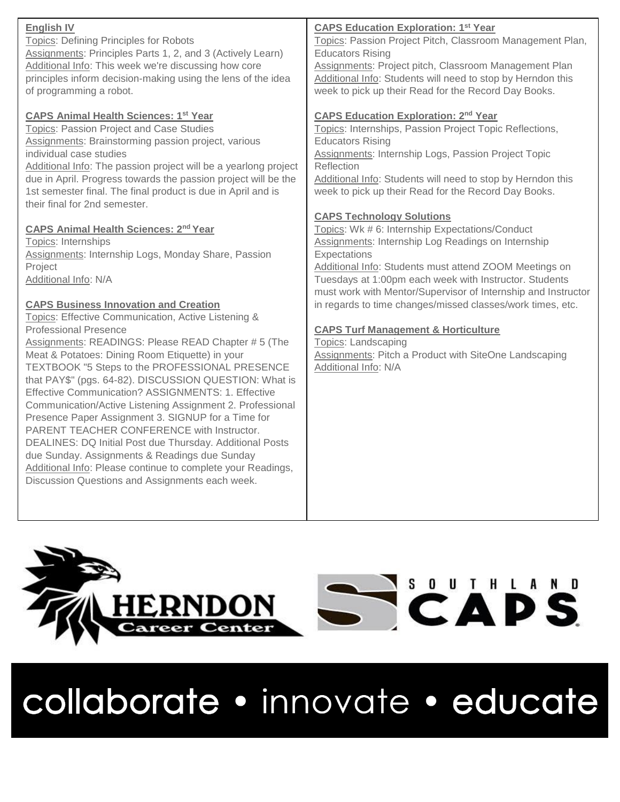| <b>English IV</b><br><b>Topics: Defining Principles for Robots</b><br>Assignments: Principles Parts 1, 2, and 3 (Actively Learn)<br>Additional Info: This week we're discussing how core<br>principles inform decision-making using the lens of the idea<br>of programming a robot.                                                                                                                                                                                                                                                                                                                                                                                                                                                                                                                             | <b>CAPS Education Exploration: 1st Year</b><br>Topics: Passion Project Pitch, Classroom Management Plan,<br><b>Educators Rising</b><br>Assignments: Project pitch, Classroom Management Plan<br>Additional Info: Students will need to stop by Herndon this<br>week to pick up their Read for the Record Day Books.                            |
|-----------------------------------------------------------------------------------------------------------------------------------------------------------------------------------------------------------------------------------------------------------------------------------------------------------------------------------------------------------------------------------------------------------------------------------------------------------------------------------------------------------------------------------------------------------------------------------------------------------------------------------------------------------------------------------------------------------------------------------------------------------------------------------------------------------------|------------------------------------------------------------------------------------------------------------------------------------------------------------------------------------------------------------------------------------------------------------------------------------------------------------------------------------------------|
| <b>CAPS Animal Health Sciences: 1st Year</b><br>Topics: Passion Project and Case Studies<br>Assignments: Brainstorming passion project, various<br>individual case studies<br>Additional Info: The passion project will be a yearlong project<br>due in April. Progress towards the passion project will be the<br>1st semester final. The final product is due in April and is<br>their final for 2nd semester.                                                                                                                                                                                                                                                                                                                                                                                                | <b>CAPS Education Exploration: 2nd Year</b><br>Topics: Internships, Passion Project Topic Reflections,<br><b>Educators Rising</b><br>Assignments: Internship Logs, Passion Project Topic<br>Reflection<br>Additional Info: Students will need to stop by Herndon this<br>week to pick up their Read for the Record Day Books.                  |
| <b>CAPS Animal Health Sciences: 2nd Year</b><br>Topics: Internships<br>Assignments: Internship Logs, Monday Share, Passion<br>Project<br>Additional Info: N/A                                                                                                                                                                                                                                                                                                                                                                                                                                                                                                                                                                                                                                                   | <b>CAPS Technology Solutions</b><br>Topics: Wk # 6: Internship Expectations/Conduct<br>Assignments: Internship Log Readings on Internship<br>Expectations<br>Additional Info: Students must attend ZOOM Meetings on<br>Tuesdays at 1:00pm each week with Instructor. Students<br>must work with Mentor/Supervisor of Internship and Instructor |
| <b>CAPS Business Innovation and Creation</b><br>Topics: Effective Communication, Active Listening &<br><b>Professional Presence</b><br>Assignments: READINGS: Please READ Chapter # 5 (The<br>Meat & Potatoes: Dining Room Etiquette) in your<br>TEXTBOOK "5 Steps to the PROFESSIONAL PRESENCE<br>that PAY\$" (pgs. 64-82). DISCUSSION QUESTION: What is<br>Effective Communication? ASSIGNMENTS: 1. Effective<br>Communication/Active Listening Assignment 2. Professional<br>Presence Paper Assignment 3. SIGNUP for a Time for<br>PARENT TEACHER CONFERENCE with Instructor.<br>DEALINES: DQ Initial Post due Thursday. Additional Posts<br>due Sunday. Assignments & Readings due Sunday<br>Additional Info: Please continue to complete your Readings,<br>Discussion Questions and Assignments each week. | in regards to time changes/missed classes/work times, etc.<br><b>CAPS Turf Management &amp; Horticulture</b><br><b>Topics: Landscaping</b><br><b>Assignments: Pitch a Product with SiteOne Landscaping</b><br>Additional Info: N/A                                                                                                             |





collaborate · innovate · educate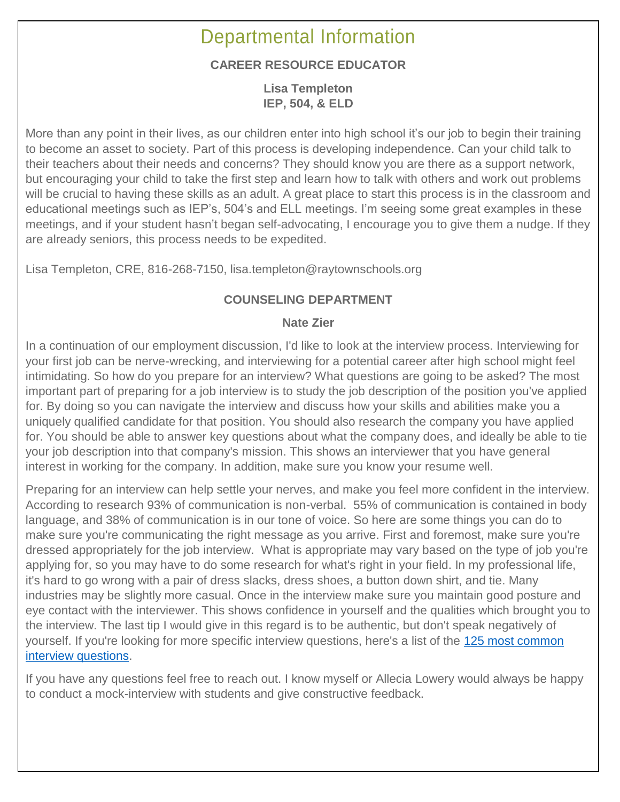## Departmental Information

#### **CAREER RESOURCE EDUCATOR**

**Lisa Templeton IEP, 504, & ELD**

More than any point in their lives, as our children enter into high school it's our job to begin their training to become an asset to society. Part of this process is developing independence. Can your child talk to their teachers about their needs and concerns? They should know you are there as a support network, but encouraging your child to take the first step and learn how to talk with others and work out problems will be crucial to having these skills as an adult. A great place to start this process is in the classroom and educational meetings such as IEP's, 504's and ELL meetings. I'm seeing some great examples in these meetings, and if your student hasn't began self-advocating, I encourage you to give them a nudge. If they are already seniors, this process needs to be expedited.

Lisa Templeton, CRE, 816-268-7150, lisa.templeton@raytownschools.org

#### **COUNSELING DEPARTMENT**

#### **Nate Zier**

In a continuation of our employment discussion, I'd like to look at the interview process. Interviewing for your first job can be nerve-wrecking, and interviewing for a potential career after high school might feel intimidating. So how do you prepare for an interview? What questions are going to be asked? The most important part of preparing for a job interview is to study the job description of the position you've applied for. By doing so you can navigate the interview and discuss how your skills and abilities make you a uniquely qualified candidate for that position. You should also research the company you have applied for. You should be able to answer key questions about what the company does, and ideally be able to tie your job description into that company's mission. This shows an interviewer that you have general interest in working for the company. In addition, make sure you know your resume well.

Preparing for an interview can help settle your nerves, and make you feel more confident in the interview. According to research 93% of communication is non-verbal. 55% of communication is contained in body language, and 38% of communication is in our tone of voice. So here are some things you can do to make sure you're communicating the right message as you arrive. First and foremost, make sure you're dressed appropriately for the job interview. What is appropriate may vary based on the type of job you're applying for, so you may have to do some research for what's right in your field. In my professional life, it's hard to go wrong with a pair of dress slacks, dress shoes, a button down shirt, and tie. Many industries may be slightly more casual. Once in the interview make sure you maintain good posture and eye contact with the interviewer. This shows confidence in yourself and the qualities which brought you to the interview. The last tip I would give in this regard is to be authentic, but don't speak negatively of yourself. If you're looking for more specific interview questions, here's a list of the [125 most common](https://www.indeed.com/career-advice/interviewing/top-interview-questions-and-answers)  [interview questions.](https://www.indeed.com/career-advice/interviewing/top-interview-questions-and-answers)

If you have any questions feel free to reach out. I know myself or Allecia Lowery would always be happy to conduct a mock-interview with students and give constructive feedback.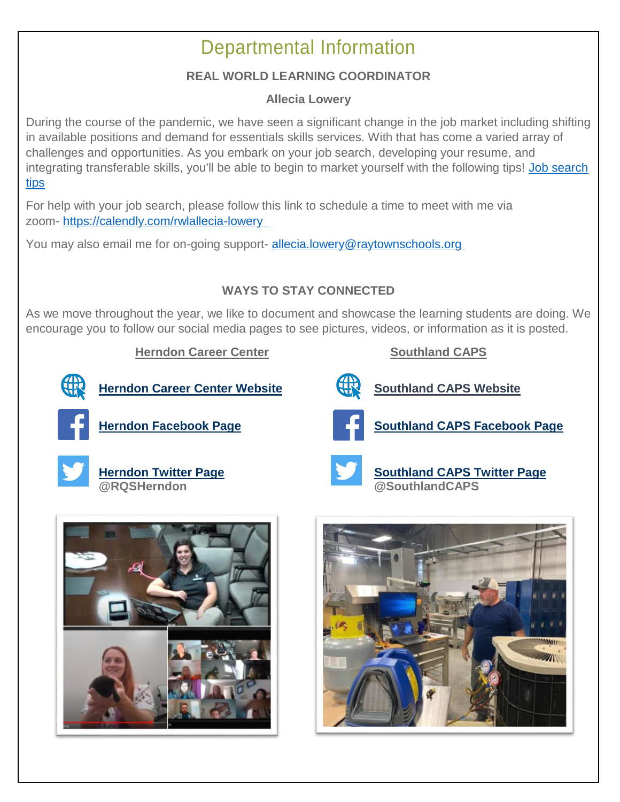## Departmental Information

#### **REAL WORLD LEARNING COORDINATOR**

#### **Allecia Lowery**

During the course of the pandemic, we have seen a significant change in the job market including shifting in available positions and demand for essentials skills services. With that has come a varied array of challenges and opportunities. As you embark on your job search, developing your resume, and integrating transferable skills, you'll be able to begin to market yourself with the following tips! [Job search](https://www.thebalancecareers.com/job-search-tips-for-high-school-students-2060904)  [tips](https://www.thebalancecareers.com/job-search-tips-for-high-school-students-2060904)

For help with your job search, please follow this link to schedule a time to meet with me via zoom- <https://calendly.com/rwlallecia-lowery>

You may also email me for on-going support- [allecia.lowery@raytownschools.org](mailto:allecia.lowery@raytownschools.org)

#### **WAYS TO STAY CONNECTED**

As we move throughout the year, we like to document and showcase the learning students are doing. We encourage you to follow our social media pages to see pictures, videos, or information as it is posted.

#### **Herndon Career Center Southland CAPS**

**[Herndon Career Center Website](www.raytownschools.org/herndon) Bully [Southland CAPS Website](https://southlandcaps.yourcapsnetwork.org/)** 



**[Herndon Facebook Page](http://www.facebook.com/rqshcc)** *[Southland CAPS Facebook Page](http://www.facebook.com/Southland-CAPS-104666954317395)* 







**[Herndon Twitter Page](https://twitter.com/rqsherndon) [Southland CAPS Twitter Page](https://twitter.com/SouthlandCAPS) @RQSHerndon @SouthlandCAPS**